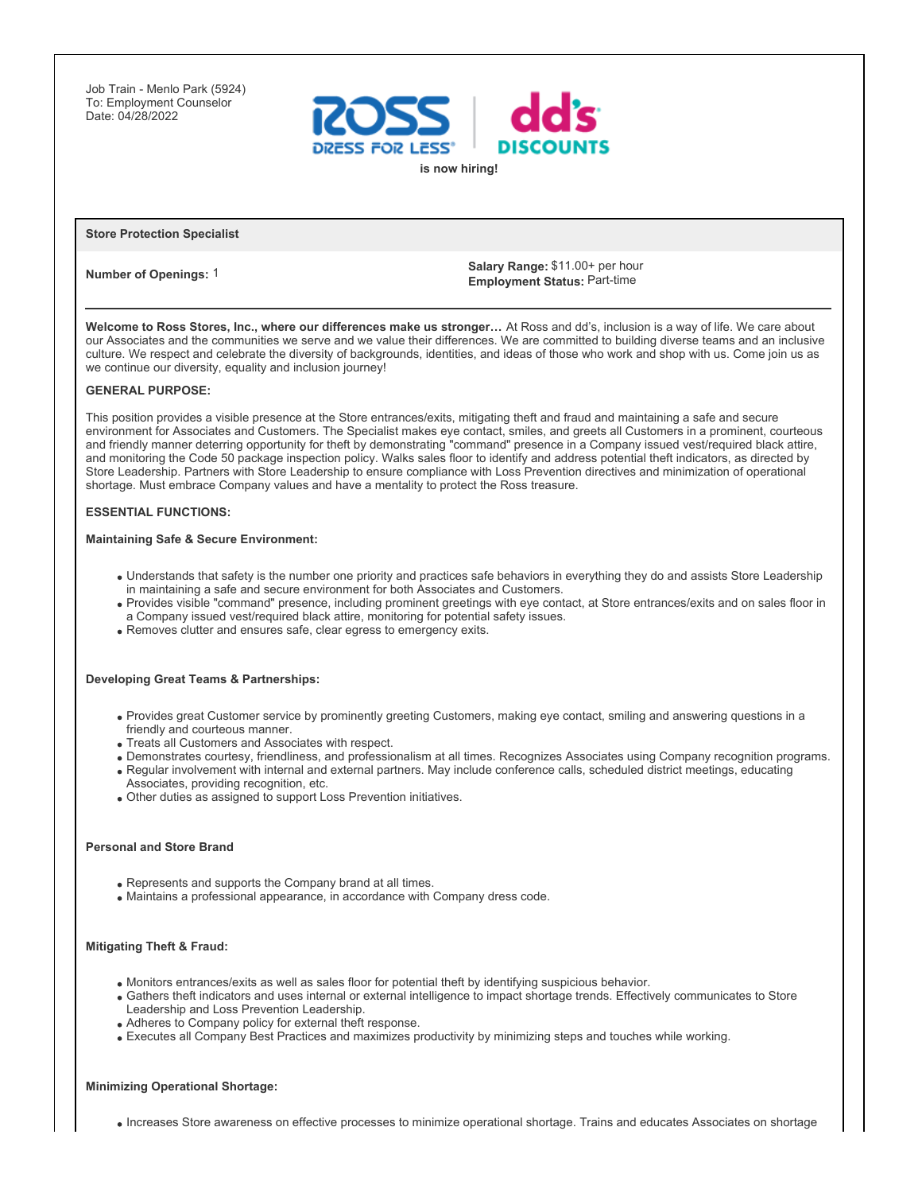Job Train - Menlo Park (5924) To: Employment Counselor Date: 04/28/2022



### **Store Protection Specialist**

**Number of Openings:** 1 **Salary Range:** \$11.00+ per hour<br> **Number of Openings:** 1 **Employment Status:** Part-time

**Welcome to Ross Stores, Inc., where our differences make us stronger…** At Ross and dd's, inclusion is a way of life. We care about our Associates and the communities we serve and we value their differences. We are committed to building diverse teams and an inclusive culture. We respect and celebrate the diversity of backgrounds, identities, and ideas of those who work and shop with us. Come join us as we continue our diversity, equality and inclusion journey!

### **GENERAL PURPOSE:**

This position provides a visible presence at the Store entrances/exits, mitigating theft and fraud and maintaining a safe and secure environment for Associates and Customers. The Specialist makes eye contact, smiles, and greets all Customers in a prominent, courteous and friendly manner deterring opportunity for theft by demonstrating "command" presence in a Company issued vest/required black attire, and monitoring the Code 50 package inspection policy. Walks sales floor to identify and address potential theft indicators, as directed by Store Leadership. Partners with Store Leadership to ensure compliance with Loss Prevention directives and minimization of operational shortage. Must embrace Company values and have a mentality to protect the Ross treasure.

## **ESSENTIAL FUNCTIONS:**

#### **Maintaining Safe & Secure Environment:**

- Understands that safety is the number one priority and practices safe behaviors in everything they do and assists Store Leadership in maintaining a safe and secure environment for both Associates and Customers.
- Provides visible "command" presence, including prominent greetings with eye contact, at Store entrances/exits and on sales floor in a Company issued vest/required black attire, monitoring for potential safety issues.
- Removes clutter and ensures safe, clear egress to emergency exits.

### **Developing Great Teams & Partnerships:**

- Provides great Customer service by prominently greeting Customers, making eye contact, smiling and answering questions in a friendly and courteous manner.
- Treats all Customers and Associates with respect.
- Demonstrates courtesy, friendliness, and professionalism at all times. Recognizes Associates using Company recognition programs.
- Regular involvement with internal and external partners. May include conference calls, scheduled district meetings, educating Associates, providing recognition, etc.
- Other duties as assigned to support Loss Prevention initiatives.

#### **Personal and Store Brand**

- Represents and supports the Company brand at all times.
- Maintains a professional appearance, in accordance with Company dress code.

### **Mitigating Theft & Fraud:**

- Monitors entrances/exits as well as sales floor for potential theft by identifying suspicious behavior.
- Gathers theft indicators and uses internal or external intelligence to impact shortage trends. Effectively communicates to Store Leadership and Loss Prevention Leadership.
- Adheres to Company policy for external theft response.
- Executes all Company Best Practices and maximizes productivity by minimizing steps and touches while working.

## **Minimizing Operational Shortage:**

Increases Store awareness on effective processes to minimize operational shortage. Trains and educates Associates on shortage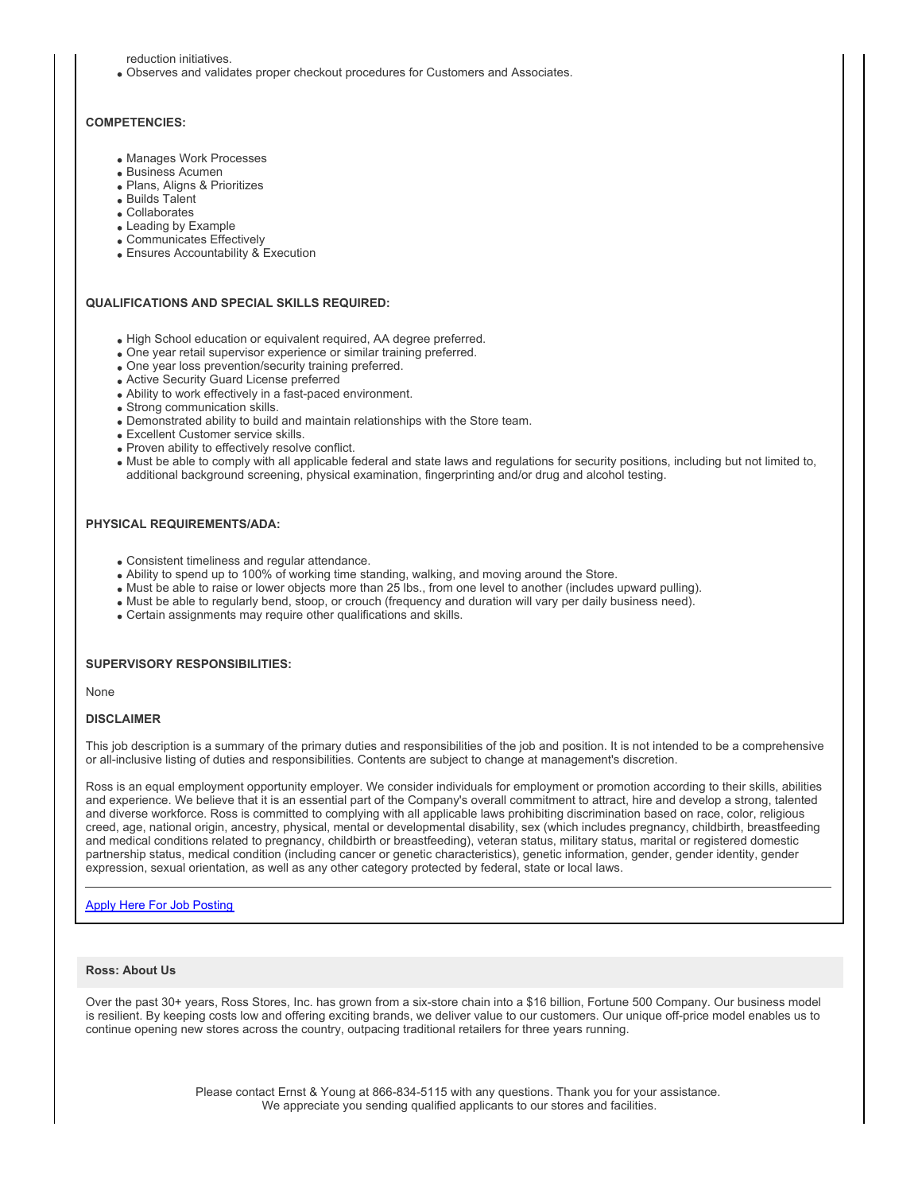reduction initiatives.

Observes and validates proper checkout procedures for Customers and Associates.

## **COMPETENCIES:**

- Manages Work Processes
- Business Acumen
- Plans, Aligns & Prioritizes
- Builds Talent
- Collaborates
- Leading by Example
- Communicates Effectively
- Ensures Accountability & Execution

## **QUALIFICATIONS AND SPECIAL SKILLS REQUIRED:**

- High School education or equivalent required, AA degree preferred.
- One year retail supervisor experience or similar training preferred.
- One year loss prevention/security training preferred.
- Active Security Guard License preferred
- Ability to work effectively in a fast-paced environment.
- Strong communication skills.
- Demonstrated ability to build and maintain relationships with the Store team.
- Excellent Customer service skills.
- Proven ability to effectively resolve conflict.
- Must be able to comply with all applicable federal and state laws and regulations for security positions, including but not limited to, additional background screening, physical examination, fingerprinting and/or drug and alcohol testing.

#### **PHYSICAL REQUIREMENTS/ADA:**

- Consistent timeliness and regular attendance.
- Ability to spend up to 100% of working time standing, walking, and moving around the Store.
- Must be able to raise or lower objects more than 25 lbs., from one level to another (includes upward pulling).
- Must be able to regularly bend, stoop, or crouch (frequency and duration will vary per daily business need).
- Certain assignments may require other qualifications and skills.

## **SUPERVISORY RESPONSIBILITIES:**

None

## **DISCLAIMER**

This job description is a summary of the primary duties and responsibilities of the job and position. It is not intended to be a comprehensive or all-inclusive listing of duties and responsibilities. Contents are subject to change at management's discretion.

Ross is an equal employment opportunity employer. We consider individuals for employment or promotion according to their skills, abilities and experience. We believe that it is an essential part of the Company's overall commitment to attract, hire and develop a strong, talented and diverse workforce. Ross is committed to complying with all applicable laws prohibiting discrimination based on race, color, religious creed, age, national origin, ancestry, physical, mental or developmental disability, sex (which includes pregnancy, childbirth, breastfeeding and medical conditions related to pregnancy, childbirth or breastfeeding), veteran status, military status, marital or registered domestic partnership status, medical condition (including cancer or genetic characteristics), genetic information, gender, gender identity, gender expression, sexual orientation, as well as any other category protected by federal, state or local laws.

## [Apply Here For Job Posting](https://jobs.rossstores.com/search/jobdetails/store-protection-specialist/d0f16f52-3920-40d6-a915-54a87cd96a62?utm_campaign=ey&utm_medium=job_board&utm_source=ey)

# **Ross: About Us**

Over the past 30+ years, Ross Stores, Inc. has grown from a six-store chain into a \$16 billion, Fortune 500 Company. Our business model is resilient. By keeping costs low and offering exciting brands, we deliver value to our customers. Our unique off-price model enables us to continue opening new stores across the country, outpacing traditional retailers for three years running.

> Please contact Ernst & Young at 866-834-5115 with any questions. Thank you for your assistance. We appreciate you sending qualified applicants to our stores and facilities.